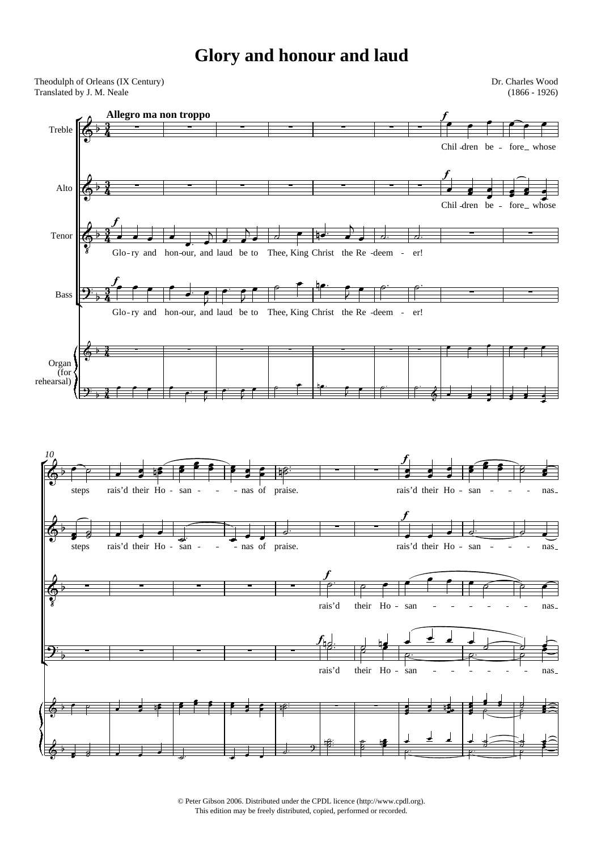## **Glory and honour and laud**

Theodulph of Orleans (IX Century) Dr. Charles Wood Translated by J. M. Neale (1866 - 1926) **Allegro ma non troppo** Treble Chil dren be  $\overline{a}$ fore whose Alto fore<sub>-whose</sub> Chil dren be Tenor Glo-ry and hon-our, and laud be to Thee, King Christ the Re-deem - er! Bass Glo-ry and hon-our, and laud be to Thee, King Christ the Re-deem - er! Organ (for rehearsal) *10* steps san praise. san nas rais'd their Ho nas of rais'd their Ho praise. san nas steps rais'd their Ho san - - - nas of rais'd their Ho t. rais'd nas their Ho - san rais'd their Ho san nas

> © Peter Gibson 2006. Distributed under the CPDL licence (http://www.cpdl.org). This edition may be freely distributed, copied, performed or recorded.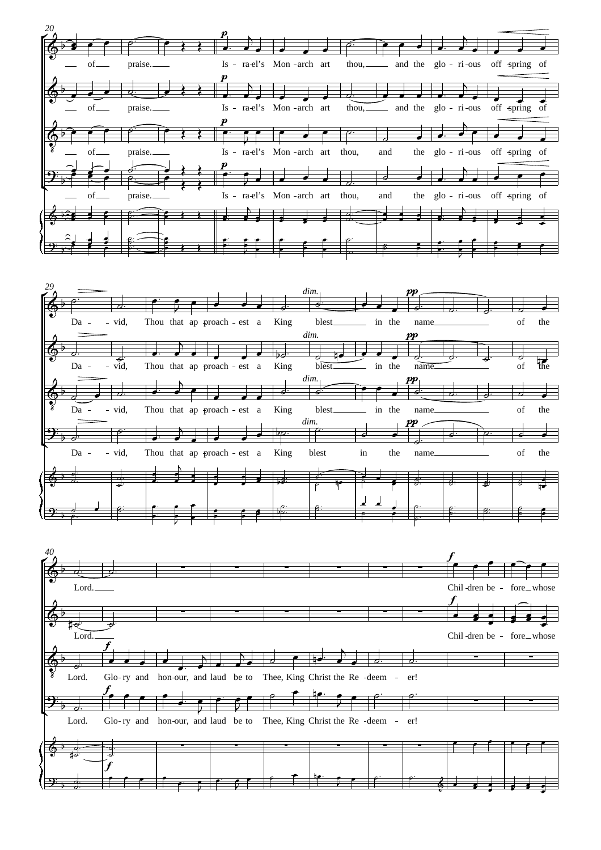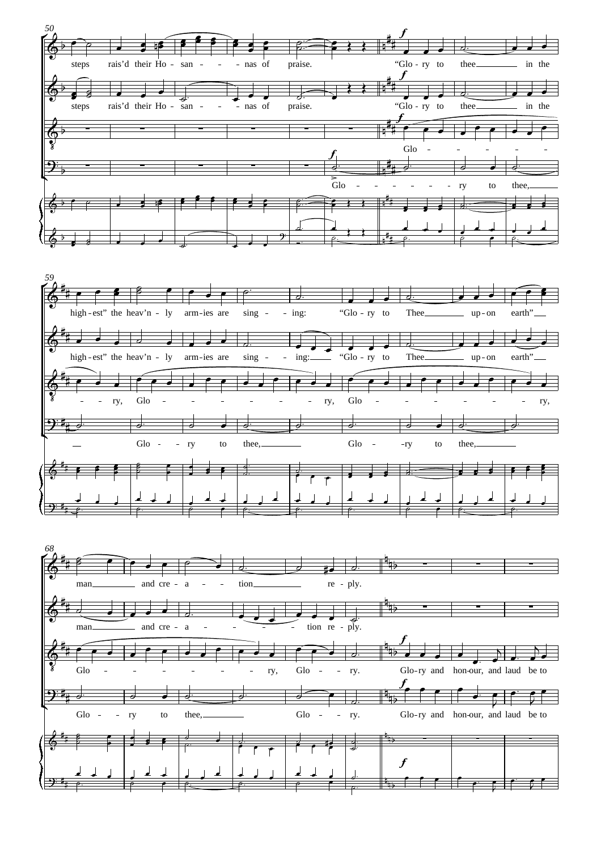



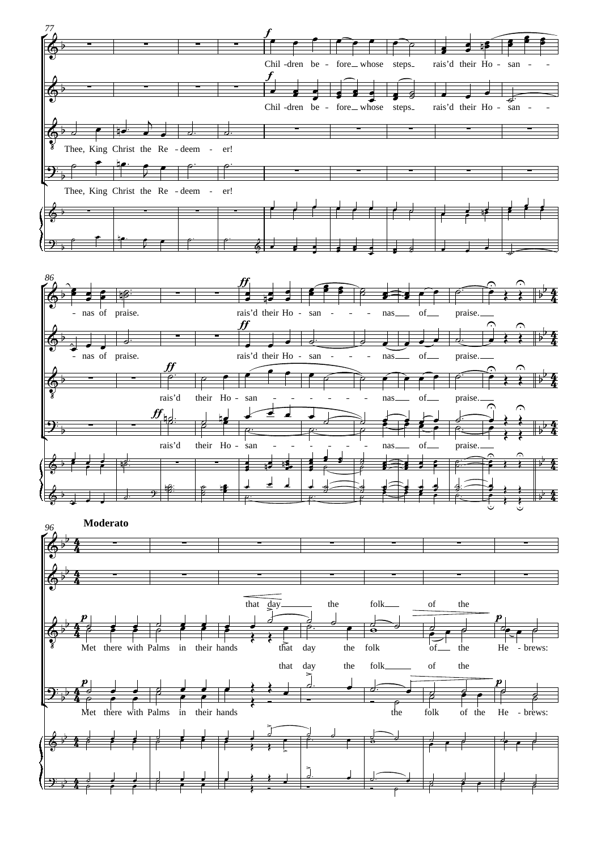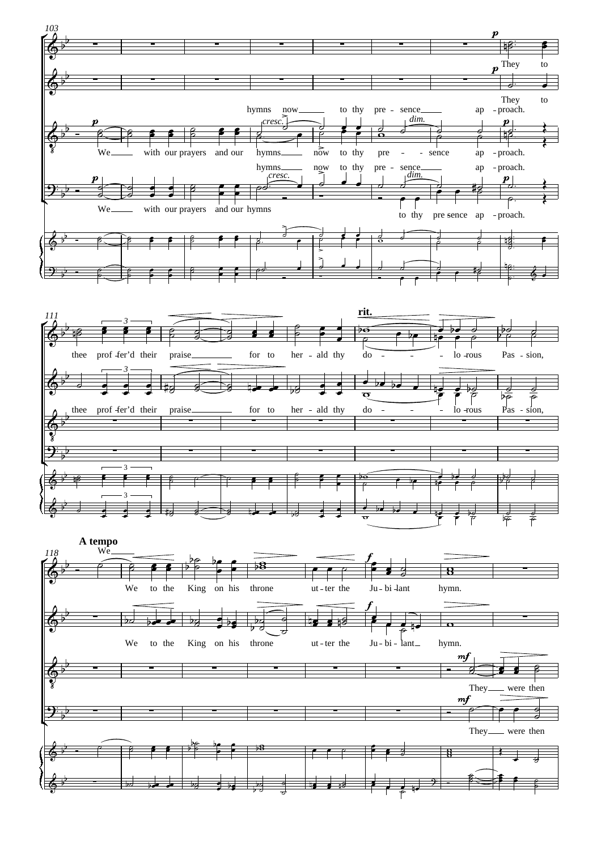



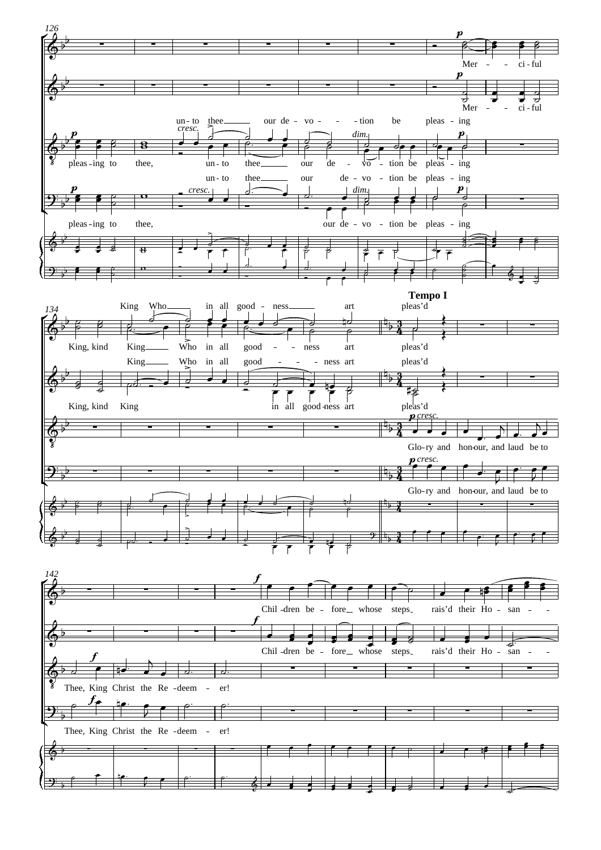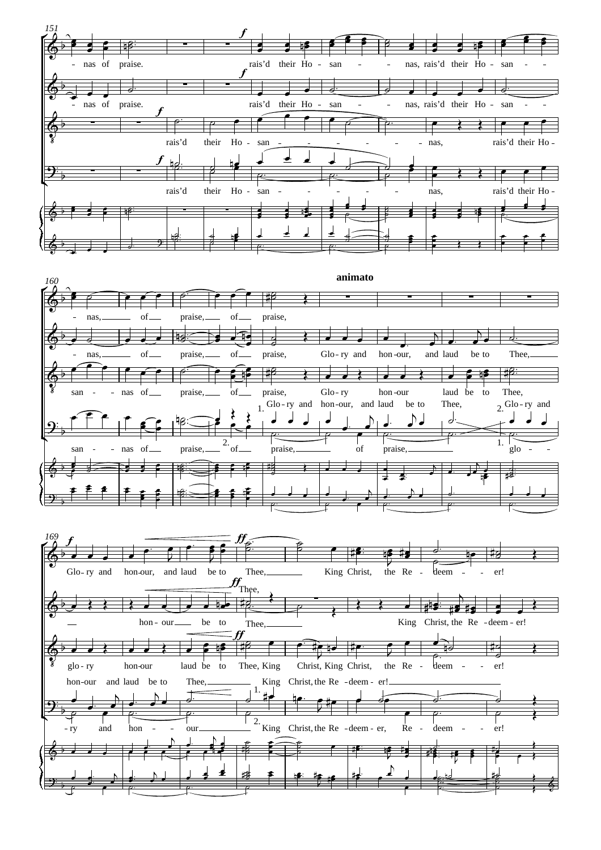